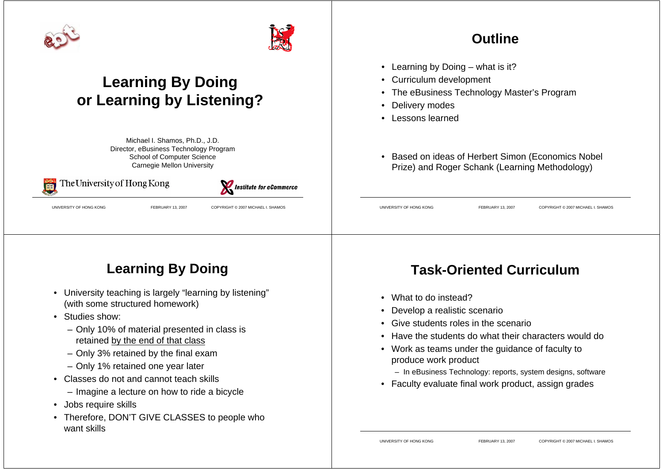



## **Learning By Doing or Learning by Listening?**

Michael I. Shamos, Ph.D., J.D. Director, eBusiness Technology Program School of Computer Science Carnegie Mellon University



### The University of Hong Kong



UNIVERSITY OF HONG KONG FEBRUARY 13, 2007 COPYRIGHT © 2007 MICHAEL I. SHAMOS

#### **Outline**

- Learning by Doing what is it?
- Curriculum development
- The eBusiness Technology Master's Program
- Delivery modes
- Lessons learned
- Based on ideas of Herbert Simon (Economics Nobel Prize) and Roger Schank (Learning Methodology)

UNIVERSITY OF HONG KONG FEBRUARY 13, 2007 COPYRIGHT © 2007 MICHAEL I. SHAMOS

## **Learning By Doing**

- University teaching is largely "learning by listening" (with some structured homework)
- Studies show:
	- Only 10% of material presented in class is retained by the end of that class
	- Only 3% retained by the final exam
	- Only 1% retained one year later
- Classes do not and cannot teach skills
	- Imagine a lecture on how to ride a bicycle
- Jobs require skills
- Therefore, DON'T GIVE CLASSES to people who want skills

### **Task-Oriented Curriculum**

- What to do instead?
- Develop a realistic scenario
- Give students roles in the scenario
- Have the students do what their characters would do
- Work as teams under the guidance of faculty to produce work product
	- In eBusiness Technology: reports, system designs, software
- Faculty evaluate final work product, assign grades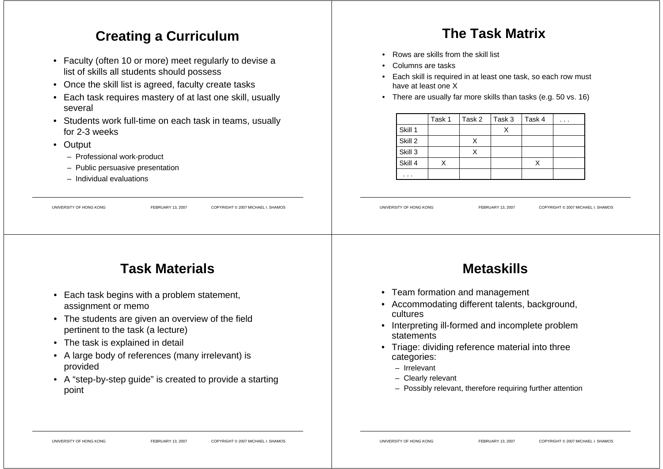#### **Creating a Curriculum**

- Faculty (often 10 or more) meet regularly to devise a list of skills all students should possess
- Once the skill list is agreed, faculty create tasks
- Each task requires mastery of at last one skill, usually several
- Students work full-time on each task in teams, usually for 2-3 weeks
- Output
	- Professional work-product
	- Public persuasive presentation
	- Individual evaluations

#### **The Task Matrix**

- •Rows are skills from the skill list
- Columns are tasks
- Each skill is required in at least one task, so each row must have at least one X
- There are usually far more skills than tasks (e.g. 50 vs. 16)

|         | Task 1 | Task 2 | Task 3 | Task 4 | . |
|---------|--------|--------|--------|--------|---|
| Skill 1 |        |        | X      |        |   |
| Skill 2 |        | x      |        |        |   |
| Skill 3 |        |        |        |        |   |
| Skill 4 |        |        |        | x      |   |
| .       |        |        |        |        |   |

UNIVERSITY OF HONG KONG FEBRUARY 13, 2007 COPYRIGHT © 2007 MICHAEL I. SHAMOS

### **Task Materials**

UNIVERSITY OF HONG KONG FEBRUARY 13, 2007 COPYRIGHT © 2007 MICHAEL I. SHAMOS

- Each task begins with a problem statement, assignment or memo
- The students are given an overview of the field pertinent to the task (a lecture)
- The task is explained in detail
- A large body of references (many irrelevant) is provided
- A "step-by-step guide" is created to provide a starting point

### **Metaskills**

- Team formation and management
- Accommodating different talents, background, cultures
- Interpreting ill-formed and incomplete problem statements
- Triage: dividing reference material into three categories:
	- Irrelevant
	- Clearly relevant
	- Possibly relevant, therefore requiring further attention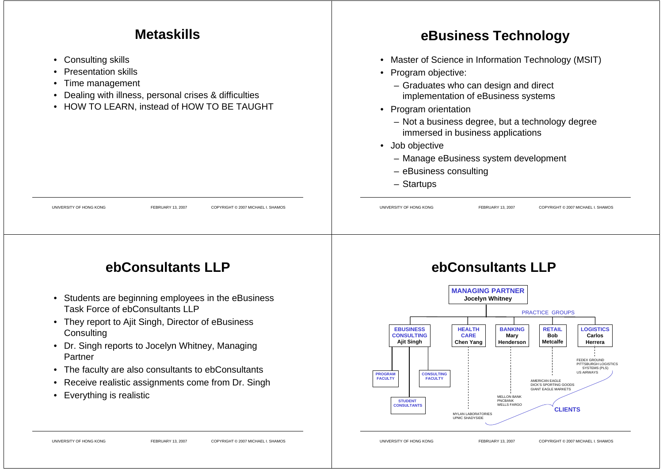#### **Metaskills**

- Consulting skills
- •Presentation skills
- •Time management
- Dealing with illness, personal crises & difficulties
- HOW TO LEARN, instead of HOW TO BE TAUGHT

### **eBusiness Technology**

- Master of Science in Information Technology (MSIT)
- Program objective:
	- Graduates who can design and direct implementation of eBusiness systems
- Program orientation
	- Not a business degree, but a technology degree immersed in business applications
- Job objective
	- Manage eBusiness system development
	- eBusiness consulting
	- Startups

UNIVERSITY OF HONG KONG FEBRUARY 13, 2007 COPYRIGHT © 2007 MICHAEL I. SHAMOS UNIVERSITY OF HONG KONG FEBRUARY 13, 2007 COPYRIGHT © 2007 MICHAEL I. SHAMOS

### **ebConsultants LLP**

- Students are beginning employees in the eBusiness Task Force of ebConsultants LLP
- They report to Ajit Singh, Director of eBusiness **Consulting**
- Dr. Singh reports to Jocelyn Whitney, Managing Partner
- The faculty are also consultants to ebConsultants
- Receive realistic assignments come from Dr. Singh
- Everything is realistic

#### **ebConsultants LLP**

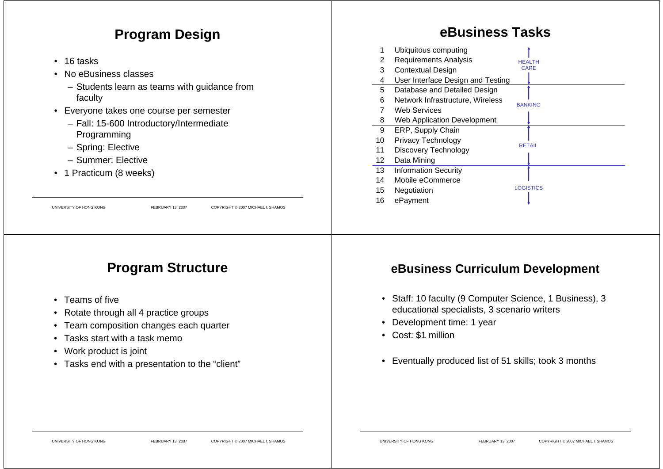#### **Program Design**

- 16 tasks
- No eBusiness classes
	- Students learn as teams with guidance from faculty
- Everyone takes one course per semester
	- Fall: 15-600 Introductory/Intermediate Programming
	- Spring: Elective
	- Summer: Elective
- 1 Practicum (8 weeks)

UNIVERSITY OF HONG KONG FEBRUARY 13, 2007 COPYRIGHT © 2007 MICHAEL I. SHAMOS

### **Program Structure**

- Teams of five
- Rotate through all 4 practice groups
- Team composition changes each quarter
- Tasks start with a task memo
- Work product is joint
- Tasks end with a presentation to the "client"

### **eBusiness Tasks**

| 1<br>2          | Ubiquitous computing<br><b>Requirements Analysis</b> |                              |
|-----------------|------------------------------------------------------|------------------------------|
| 3               | <b>Contextual Design</b>                             | <b>HFAITH</b><br><b>CARE</b> |
|                 |                                                      |                              |
| 4               | User Interface Design and Testing                    |                              |
| 5               | Database and Detailed Design                         |                              |
| 6               | Network Infrastructure, Wireless                     | <b>BANKING</b>               |
| 7               | <b>Web Services</b>                                  |                              |
| 8               | Web Application Development                          |                              |
| 9               | ERP, Supply Chain                                    |                              |
| 10              | Privacy Technology                                   |                              |
| 11              | Discovery Technology                                 | <b>RETAIL</b>                |
| 12 <sup>2</sup> | Data Mining                                          |                              |
| 13              | <b>Information Security</b>                          |                              |
| 14              | Mobile eCommerce                                     |                              |
| 15              | Negotiation                                          | <b>LOGISTICS</b>             |
| 16              | ePayment                                             |                              |
|                 |                                                      |                              |

#### **eBusiness Curriculum Development**

- Staff: 10 faculty (9 Computer Science, 1 Business), 3 educational specialists, 3 scenario writers
- Development time: 1 year
- Cost: \$1 million
- Eventually produced list of 51 skills; took 3 months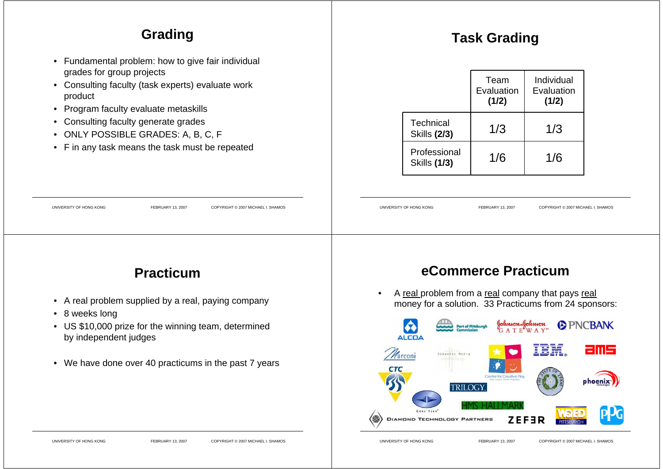### **Grading**

- Fundamental problem: how to give fair individual grades for group projects
- Consulting faculty (task experts) evaluate work product
- Program faculty evaluate metaskills
- Consulting faculty generate grades
- ONLY POSSIBLE GRADES: A, B, C, F
- F in any task means the task must be repeated

### **Task Grading**

|                                     | Team<br>Evaluation<br>(1/2) | Individual<br>Evaluation<br>(1/2) |
|-------------------------------------|-----------------------------|-----------------------------------|
| Technical<br><b>Skills (2/3)</b>    | 1/3                         | 1/3                               |
| Professional<br><b>Skills (1/3)</b> | 1/6                         | 1/6                               |

UNIVERSITY OF HONG KONG FEBRUARY 13, 2007 COPYRIGHT © 2007 MICHAEL I. SHAMOS

### **Practicum**

UNIVERSITY OF HONG KONG FEBRUARY 13, 2007 COPYRIGHT © 2007 MICHAEL I. SHAMOS

- A real problem supplied by a real, paying company
- 8 weeks long
- US \$10,000 prize for the winning team, determined by independent judges
- We have done over 40 practicums in the past 7 years

#### **eCommerce Practicum**

• A real problem from a real company that pays real money for a solution. 33 Practicums from 24 sponsors: